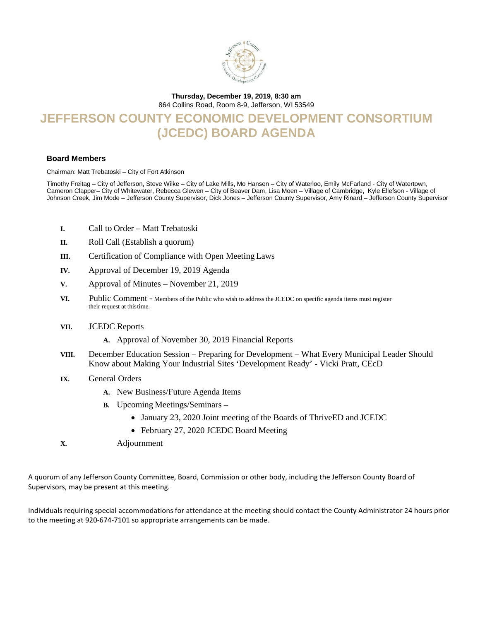

#### **Thursday, December 19, 2019, 8:30 am**

864 Collins Road, Room 8-9, Jefferson, WI 53549

## **JEFFERSON COUNTY ECONOMIC DEVELOPMENT CONSORTIUM (JCEDC) BOARD AGENDA**

#### **Board Members**

Chairman: Matt Trebatoski – City of Fort Atkinson

Timothy Freitag – City of Jefferson, Steve Wilke – City of Lake Mills, Mo Hansen – City of Waterloo, Emily McFarland - City of Watertown, Cameron Clapper– City of Whitewater, Rebecca Glewen – City of Beaver Dam, Lisa Moen – Village of Cambridge, Kyle Ellefson - Village of Johnson Creek, Jim Mode – Jefferson County Supervisor, Dick Jones – Jefferson County Supervisor, Amy Rinard – Jefferson County Supervisor

- **I.** Call to Order Matt Trebatoski
- **II.** Roll Call (Establish a quorum)
- **III.** Certification of Compliance with Open Meeting Laws
- **IV.** Approval of December 19, 2019 Agenda
- **V.** Approval of Minutes November 21, 2019
- **VI.**Public Comment Members of the Public who wish to address the JCEDC on specific agenda items must register their request at thistime.
- **VII.** JCEDC Reports
	- **A.** Approval of November 30, 2019 Financial Reports
- **VIII.** December Education Session Preparing for Development What Every Municipal Leader Should Know about Making Your Industrial Sites 'Development Ready' - Vicki Pratt, CEcD
- **IX.** General Orders
	- **A.** New Business/Future Agenda Items
	- **B.** Upcoming Meetings/Seminars
		- January 23, 2020 Joint meeting of the Boards of ThriveED and JCEDC
		- February 27, 2020 JCEDC Board Meeting
- **X.** Adjournment

A quorum of any Jefferson County Committee, Board, Commission or other body, including the Jefferson County Board of Supervisors, may be present at this meeting.

Individuals requiring special accommodations for attendance at the meeting should contact the County Administrator 24 hours prior to the meeting at 920-674-7101 so appropriate arrangements can be made.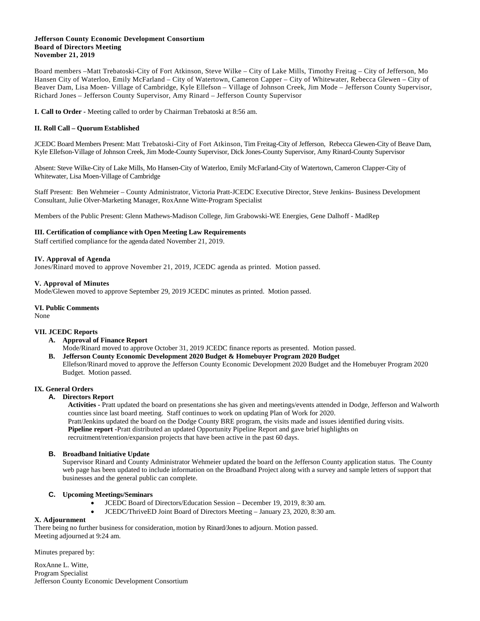#### **Jefferson County Economic Development Consortium Board of Directors Meeting November 21, 2019**

Board members –Matt Trebatoski-City of Fort Atkinson, Steve Wilke – City of Lake Mills, Timothy Freitag – City of Jefferson, Mo Hansen City of Waterloo, Emily McFarland – City of Watertown, Cameron Capper – City of Whitewater, Rebecca Glewen – City of Beaver Dam, Lisa Moen- Village of Cambridge, Kyle Ellefson – Village of Johnson Creek, Jim Mode – Jefferson County Supervisor, Richard Jones – Jefferson County Supervisor, Amy Rinard – Jefferson County Supervisor

**I. Call to Order -** Meeting called to order by Chairman Trebatoski at 8:56 am.

#### **II. Roll Call – Quorum Established**

JCEDC Board Members Present: Matt Trebatoski-City of Fort Atkinson, Tim Freitag-City of Jefferson, Rebecca Glewen-City of Beave Dam, Kyle Ellefson-Village of Johnson Creek, Jim Mode-County Supervisor, Dick Jones-County Supervisor, Amy Rinard-County Supervisor

Absent: Steve Wilke-City of Lake Mills, Mo Hansen-City of Waterloo, Emily McFarland-City of Watertown, Cameron Clapper-City of Whitewater, Lisa Moen-Village of Cambridge

Staff Present: Ben Wehmeier – County Administrator, Victoria Pratt-JCEDC Executive Director, Steve Jenkins- Business Development Consultant, Julie Olver-Marketing Manager, RoxAnne Witte-Program Specialist

Members of the Public Present: Glenn Mathews-Madison College, Jim Grabowski-WE Energies, Gene Dalhoff - MadRep

#### **III. Certification of compliance with Open Meeting Law Requirements**

Staff certified compliance for the agenda dated November 21, 2019.

#### **IV. Approval of Agenda**

Jones/Rinard moved to approve November 21, 2019, JCEDC agenda as printed. Motion passed.

#### **V. Approval of Minutes**

Mode/Glewen moved to approve September 29, 2019 JCEDC minutes as printed. Motion passed.

#### **VI. Public Comments**

None

#### **VII. JCEDC Reports**

- **A. Approval of Finance Report**
- Mode/Rinard moved to approve October 31, 2019 JCEDC finance reports as presented. Motion passed.
- **B. Jefferson County Economic Development 2020 Budget & Homebuyer Program 2020 Budget** Ellefson/Rinard moved to approve the Jefferson County Economic Development 2020 Budget and the Homebuyer Program 2020 Budget. Motion passed.

#### **IX. General Orders**

#### **A. Directors Report**

 **Activities -** Pratt updated the board on presentations she has given and meetings/events attended in Dodge, Jefferson and Walworth counties since last board meeting. Staff continues to work on updating Plan of Work for 2020.

Pratt/Jenkins updated the board on the Dodge County BRE program, the visits made and issues identified during visits.

**Pipeline report -**Pratt distributed an updated Opportunity Pipeline Report and gave brief highlights on

recruitment/retention/expansion projects that have been active in the past 60 days.

#### **B. Broadband Initiative Update**

Supervisor Rinard and County Administrator Wehmeier updated the board on the Jefferson County application status. The County web page has been updated to include information on the Broadband Project along with a survey and sample letters of support that businesses and the general public can complete.

#### **C. Upcoming Meetings/Seminars**

- JCEDC Board of Directors/Education Session December 19, 2019, 8:30 am.
- JCEDC/ThriveED Joint Board of Directors Meeting January 23, 2020, 8:30 am.

#### **X. Adjournment**

There being no further business for consideration, motion by Rinard/Jones to adjourn. Motion passed. Meeting adjourned at 9:24 am.

Minutes prepared by:

RoxAnne L. Witte, Program Specialist Jefferson County Economic Development Consortium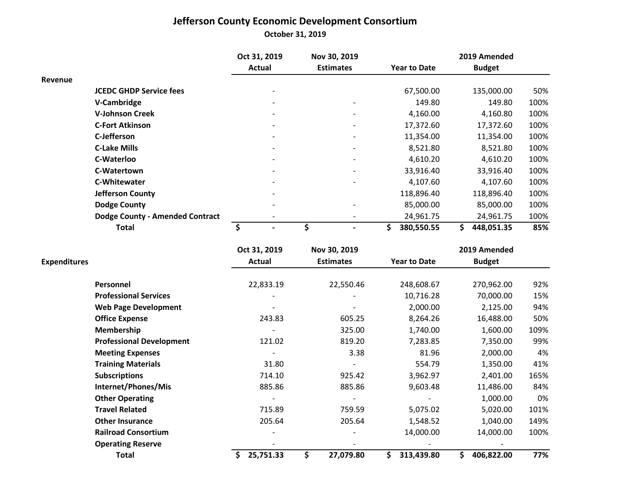## **Jefferson County Economic Development Consortium**

**October 31, 2019**

|                                        | Oct 31, 2019 |        | Nov 30, 2019     |                          | 2019 Amended        |  |               |      |  |  |
|----------------------------------------|--------------|--------|------------------|--------------------------|---------------------|--|---------------|------|--|--|
|                                        |              | Actual | <b>Estimates</b> |                          | <b>Year to Date</b> |  | <b>Budget</b> |      |  |  |
| Revenue                                |              |        |                  |                          |                     |  |               |      |  |  |
| <b>JCEDC GHDP Service fees</b>         |              |        |                  |                          | 67,500.00           |  | 135,000.00    | 50%  |  |  |
| V-Cambridge                            |              | -      |                  | $\overline{\phantom{0}}$ | 149.80              |  | 149.80        | 100% |  |  |
| <b>V-Johnson Creek</b>                 |              |        |                  |                          | 4,160.00            |  | 4,160.80      | 100% |  |  |
| <b>C-Fort Atkinson</b>                 |              |        |                  |                          | 17,372.60           |  | 17,372.60     | 100% |  |  |
| C-Jefferson                            |              |        |                  |                          | 11,354.00           |  | 11,354.00     | 100% |  |  |
| <b>C-Lake Mills</b>                    |              |        |                  |                          | 8,521.80            |  | 8,521.80      | 100% |  |  |
| C-Waterloo                             |              |        |                  |                          | 4,610.20            |  | 4,610.20      | 100% |  |  |
| C-Watertown                            |              |        |                  |                          | 33,916.40           |  | 33,916.40     | 100% |  |  |
| <b>C-Whitewater</b>                    |              |        |                  |                          | 4,107.60            |  | 4,107.60      | 100% |  |  |
| Jefferson County                       |              |        |                  |                          | 118,896.40          |  | 118,896.40    | 100% |  |  |
| <b>Dodge County</b>                    |              |        |                  |                          | 85,000.00           |  | 85,000.00     | 100% |  |  |
| <b>Dodge County - Amended Contract</b> |              |        |                  |                          | 24,961.75           |  | 24,961.75     | 100% |  |  |
| <b>Total</b>                           |              |        |                  | S                        | 380,550.55          |  | 448,051.35    | 85%  |  |  |

|                     |                                 | Oct 31, 2019    | Nov 30, 2019     | 2019 Amended        |                 |      |  |  |
|---------------------|---------------------------------|-----------------|------------------|---------------------|-----------------|------|--|--|
| <b>Expenditures</b> |                                 | <b>Actual</b>   | <b>Estimates</b> | <b>Year to Date</b> | <b>Budget</b>   |      |  |  |
|                     | Personnel                       | 22,833.19       | 22,550.46        | 248,608.67          | 270,962.00      | 92%  |  |  |
|                     | <b>Professional Services</b>    |                 |                  | 10,716.28           | 70,000.00       | 15%  |  |  |
|                     | <b>Web Page Development</b>     |                 |                  | 2,000.00            | 2,125.00        | 94%  |  |  |
|                     | <b>Office Expense</b>           | 243.83          | 605.25           | 8,264.26            | 16,488.00       | 50%  |  |  |
|                     | Membership                      |                 | 325.00           | 1,740.00            | 1,600.00        | 109% |  |  |
|                     | <b>Professional Development</b> | 121.02          | 819.20           | 7,283.85            | 7,350.00        | 99%  |  |  |
|                     | <b>Meeting Expenses</b>         |                 | 3.38             | 81.96               | 2,000.00        | 4%   |  |  |
|                     | <b>Training Materials</b>       | 31.80           |                  | 554.79              | 1,350.00        | 41%  |  |  |
|                     | <b>Subscriptions</b>            | 714.10          | 925.42           | 3,962.97            | 2,401.00        | 165% |  |  |
|                     | Internet/Phones/Mis             | 885.86          | 885.86           | 9,603.48            | 11,486.00       | 84%  |  |  |
|                     | <b>Other Operating</b>          |                 |                  |                     | 1,000.00        | 0%   |  |  |
|                     | <b>Travel Related</b>           | 715.89          | 759.59           | 5,075.02            | 5,020.00        | 101% |  |  |
|                     | <b>Other Insurance</b>          | 205.64          | 205.64           | 1,548.52            | 1,040.00        | 149% |  |  |
|                     | <b>Railroad Consortium</b>      |                 |                  | 14,000.00           | 14,000.00       | 100% |  |  |
|                     | <b>Operating Reserve</b>        |                 |                  |                     |                 |      |  |  |
|                     | <b>Total</b>                    | Ŝ.<br>25,751.33 | \$<br>27,079.80  | Ś.<br>313,439.80    | Ś<br>406,822.00 | 77%  |  |  |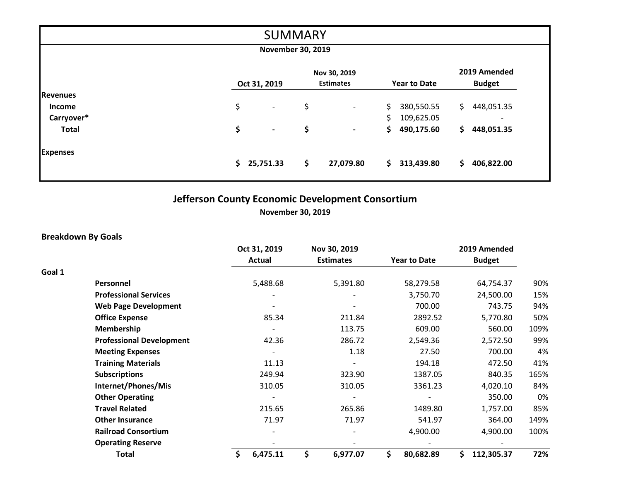|                 |                                | <b>SUMMARY</b> |                                  |                     |                               |
|-----------------|--------------------------------|----------------|----------------------------------|---------------------|-------------------------------|
|                 | <b>November 30, 2019</b>       |                |                                  |                     |                               |
|                 | Oct 31, 2019                   |                | Nov 30, 2019<br><b>Estimates</b> | <b>Year to Date</b> | 2019 Amended<br><b>Budget</b> |
| <b>Revenues</b> |                                |                |                                  |                     |                               |
| <b>Income</b>   | \$<br>$\overline{\phantom{a}}$ | \$             | $\overline{\phantom{a}}$         | \$<br>380,550.55    | \$.<br>448,051.35             |
| Carryover*      |                                |                |                                  | Ś.<br>109,625.05    |                               |
| <b>Total</b>    | \$                             | S              | $\overline{\phantom{a}}$         | 490,175.60<br>\$    | 448,051.35<br>S.              |
| <b>Expenses</b> |                                |                |                                  |                     |                               |
|                 | \$<br>25,751.33                | \$             | 27,079.80                        | \$.<br>313,439.80   | \$.<br>406,822.00             |

# **Jefferson County Economic Development Consortium**

**November 30, 2019**

### **Breakdown By Goals**

|        |                                 | Oct 31, 2019   | Nov 30, 2019 |                  |                     | 2019 Amended |               |      |
|--------|---------------------------------|----------------|--------------|------------------|---------------------|--------------|---------------|------|
|        |                                 | <b>Actual</b>  |              | <b>Estimates</b> | <b>Year to Date</b> |              | <b>Budget</b> |      |
| Goal 1 |                                 |                |              |                  |                     |              |               |      |
|        | Personnel                       | 5,488.68       |              | 5,391.80         | 58,279.58           |              | 64,754.37     | 90%  |
|        | <b>Professional Services</b>    |                |              |                  | 3,750.70            |              | 24,500.00     | 15%  |
|        | <b>Web Page Development</b>     |                |              |                  | 700.00              |              | 743.75        | 94%  |
|        | <b>Office Expense</b>           | 85.34          |              | 211.84           | 2892.52             |              | 5,770.80      | 50%  |
|        | Membership                      |                |              | 113.75           | 609.00              |              | 560.00        | 109% |
|        | <b>Professional Development</b> | 42.36          |              | 286.72           | 2,549.36            |              | 2,572.50      | 99%  |
|        | <b>Meeting Expenses</b>         |                |              | 1.18             | 27.50               |              | 700.00        | 4%   |
|        | <b>Training Materials</b>       | 11.13          |              |                  | 194.18              |              | 472.50        | 41%  |
|        | <b>Subscriptions</b>            | 249.94         |              | 323.90           | 1387.05             |              | 840.35        | 165% |
|        | Internet/Phones/Mis             | 310.05         |              | 310.05           | 3361.23             |              | 4,020.10      | 84%  |
|        | <b>Other Operating</b>          |                |              |                  |                     |              | 350.00        | 0%   |
|        | <b>Travel Related</b>           | 215.65         |              | 265.86           | 1489.80             |              | 1,757.00      | 85%  |
|        | <b>Other Insurance</b>          | 71.97          |              | 71.97            | 541.97              |              | 364.00        | 149% |
|        | <b>Railroad Consortium</b>      |                |              |                  | 4,900.00            |              | 4,900.00      | 100% |
|        | <b>Operating Reserve</b>        |                |              |                  |                     |              |               |      |
|        | <b>Total</b>                    | \$<br>6,475.11 | \$           | 6,977.07         | \$<br>80,682.89     |              | 112,305.37    | 72%  |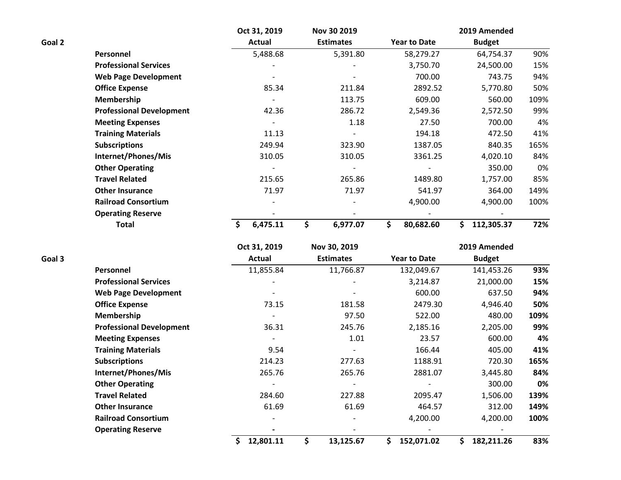|        |                                 | Oct 31, 2019 | Nov 30 2019      |                     | 2019 Amended  |      |
|--------|---------------------------------|--------------|------------------|---------------------|---------------|------|
| Goal 2 |                                 | Actual       | <b>Estimates</b> | <b>Year to Date</b> | <b>Budget</b> |      |
|        | Personnel                       | 5,488.68     | 5,391.80         | 58,279.27           | 64,754.37     | 90%  |
|        | <b>Professional Services</b>    |              |                  | 3,750.70            | 24,500.00     | 15%  |
|        | <b>Web Page Development</b>     |              |                  | 700.00              | 743.75        | 94%  |
|        | <b>Office Expense</b>           | 85.34        | 211.84           | 2892.52             | 5,770.80      | 50%  |
|        | Membership                      |              | 113.75           | 609.00              | 560.00        | 109% |
|        | <b>Professional Development</b> | 42.36        | 286.72           | 2,549.36            | 2,572.50      | 99%  |
|        | <b>Meeting Expenses</b>         |              | 1.18             | 27.50               | 700.00        | 4%   |
|        | <b>Training Materials</b>       | 11.13        |                  | 194.18              | 472.50        | 41%  |
|        | <b>Subscriptions</b>            | 249.94       | 323.90           | 1387.05             | 840.35        | 165% |
|        | Internet/Phones/Mis             | 310.05       | 310.05           | 3361.25             | 4,020.10      | 84%  |
|        | <b>Other Operating</b>          |              |                  |                     | 350.00        | 0%   |
|        | <b>Travel Related</b>           | 215.65       | 265.86           | 1489.80             | 1,757.00      | 85%  |
|        | <b>Other Insurance</b>          | 71.97        | 71.97            | 541.97              | 364.00        | 149% |
|        | <b>Railroad Consortium</b>      |              |                  | 4,900.00            | 4,900.00      | 100% |
|        | <b>Operating Reserve</b>        |              |                  |                     |               |      |
|        | <b>Total</b>                    | 6,475.11     | 6,977.07         | \$<br>80,682.60     | 112,305.37    | 72%  |

|        |                                 | Oct 31, 2019    | Nov 30, 2019     |                     | 2019 Amended  |      |
|--------|---------------------------------|-----------------|------------------|---------------------|---------------|------|
| Goal 3 |                                 | Actual          | <b>Estimates</b> | <b>Year to Date</b> | <b>Budget</b> |      |
|        | Personnel                       | 11,855.84       | 11,766.87        | 132,049.67          | 141,453.26    | 93%  |
|        | <b>Professional Services</b>    |                 |                  | 3,214.87            | 21,000.00     | 15%  |
|        | <b>Web Page Development</b>     |                 |                  | 600.00              | 637.50        | 94%  |
|        | <b>Office Expense</b>           | 73.15           | 181.58           | 2479.30             | 4,946.40      | 50%  |
|        | Membership                      |                 | 97.50            | 522.00              | 480.00        | 109% |
|        | <b>Professional Development</b> | 36.31           | 245.76           | 2,185.16            | 2,205.00      | 99%  |
|        | <b>Meeting Expenses</b>         |                 | 1.01             | 23.57               | 600.00        | 4%   |
|        | <b>Training Materials</b>       | 9.54            |                  | 166.44              | 405.00        | 41%  |
|        | <b>Subscriptions</b>            | 214.23          | 277.63           | 1188.91             | 720.30        | 165% |
|        | Internet/Phones/Mis             | 265.76          | 265.76           | 2881.07             | 3,445.80      | 84%  |
|        | <b>Other Operating</b>          |                 |                  |                     | 300.00        | 0%   |
|        | <b>Travel Related</b>           | 284.60          | 227.88           | 2095.47             | 1,506.00      | 139% |
|        | <b>Other Insurance</b>          | 61.69           | 61.69            | 464.57              | 312.00        | 149% |
|        | <b>Railroad Consortium</b>      |                 |                  | 4,200.00            | 4,200.00      | 100% |
|        | <b>Operating Reserve</b>        |                 |                  |                     |               |      |
|        |                                 | Ś.<br>12,801.11 | 13,125.67<br>\$  | 152,071.02<br>S.    | 182,211.26    | 83%  |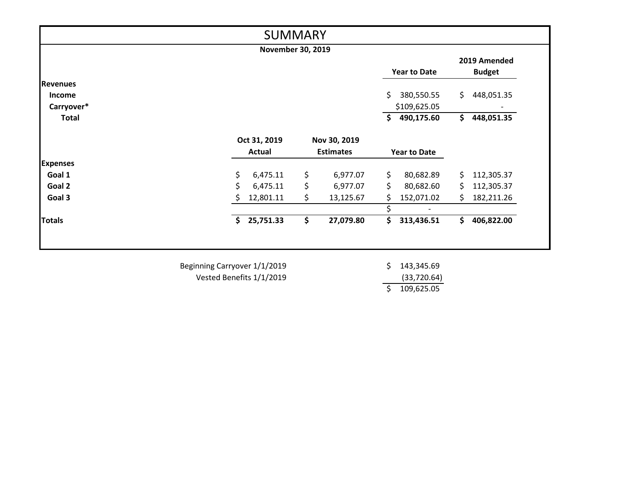|                    |               |              |           |                                                                                |            |                                                            | 2019 Amended  |
|--------------------|---------------|--------------|-----------|--------------------------------------------------------------------------------|------------|------------------------------------------------------------|---------------|
|                    |               |              |           |                                                                                |            |                                                            | <b>Budget</b> |
|                    |               |              |           |                                                                                |            |                                                            |               |
|                    |               |              |           | \$                                                                             | 380,550.55 | \$.                                                        | 448,051.35    |
|                    |               |              |           |                                                                                |            |                                                            |               |
|                    |               |              |           | \$                                                                             | 490,175.60 | \$                                                         | 448,051.35    |
|                    |               |              |           |                                                                                |            |                                                            |               |
|                    | <b>Actual</b> |              |           |                                                                                |            |                                                            |               |
|                    |               |              |           |                                                                                |            |                                                            |               |
| \$                 | 6,475.11      | \$           | 6,977.07  | \$                                                                             | 80,682.89  | \$.                                                        | 112,305.37    |
| \$                 | 6,475.11      | \$           | 6,977.07  | \$.                                                                            | 80,682.60  | \$.                                                        | 112,305.37    |
| S                  | 12,801.11     | \$           | 13,125.67 | \$                                                                             | 152,071.02 | \$.                                                        | 182,211.26    |
|                    |               |              |           | Ś.                                                                             |            |                                                            |               |
| $\mathsf{\hat{S}}$ | 25,751.33     | \$           | 27,079.80 | \$                                                                             | 313,436.51 | Ś.                                                         | 406,822.00    |
|                    |               |              |           |                                                                                |            |                                                            |               |
|                    |               |              |           |                                                                                |            |                                                            |               |
|                    |               |              |           |                                                                                |            |                                                            |               |
|                    |               | Oct 31, 2019 |           | <b>SUMMARY</b><br><b>November 30, 2019</b><br>Nov 30, 2019<br><b>Estimates</b> |            | <b>Year to Date</b><br>\$109,625.05<br><b>Year to Date</b> |               |

Vested Benefits 1/1/2019

 (33,720.64) \$ 109,625.05